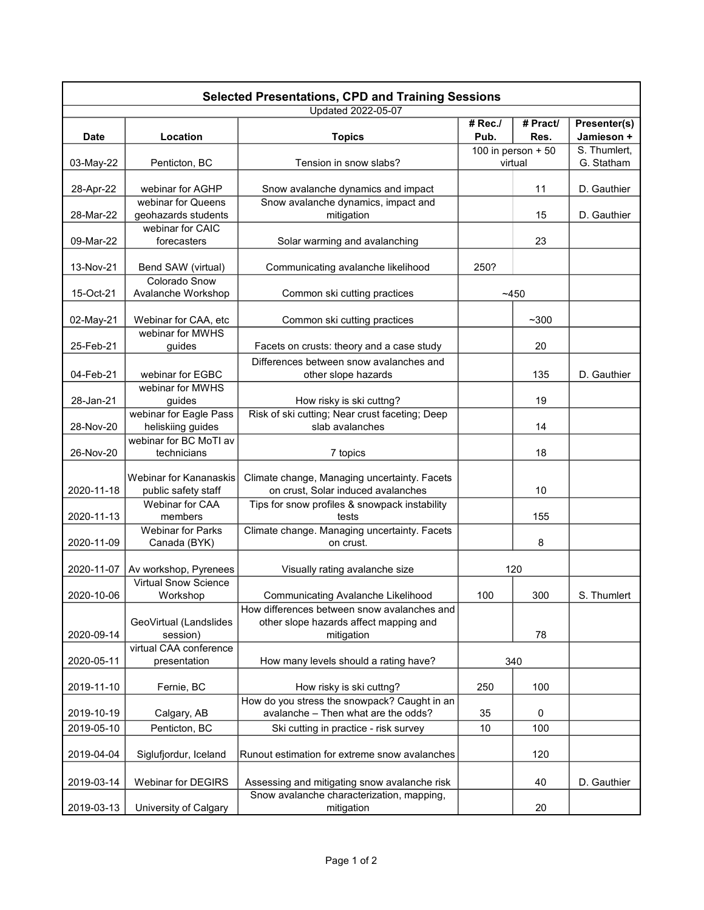| <b>Selected Presentations, CPD and Training Sessions</b> |                                         |                                                                                     |                     |                  |                            |  |  |  |  |
|----------------------------------------------------------|-----------------------------------------|-------------------------------------------------------------------------------------|---------------------|------------------|----------------------------|--|--|--|--|
|                                                          |                                         | <b>Updated 2022-05-07</b>                                                           |                     |                  |                            |  |  |  |  |
| <b>Date</b>                                              | Location                                | <b>Topics</b>                                                                       | #Rec.<br>Pub.       | # Pract/<br>Res. | Presenter(s)<br>Jamieson + |  |  |  |  |
|                                                          |                                         |                                                                                     | 100 in person $+50$ |                  | S. Thumlert,               |  |  |  |  |
| 03-May-22                                                | Penticton, BC                           | Tension in snow slabs?                                                              | virtual             |                  | G. Statham                 |  |  |  |  |
| 28-Apr-22                                                | webinar for AGHP                        | Snow avalanche dynamics and impact                                                  |                     | 11               | D. Gauthier                |  |  |  |  |
|                                                          | webinar for Queens                      | Snow avalanche dynamics, impact and                                                 |                     |                  |                            |  |  |  |  |
| 28-Mar-22                                                | geohazards students<br>webinar for CAIC | mitigation                                                                          |                     | 15               | D. Gauthier                |  |  |  |  |
| 09-Mar-22                                                | forecasters                             | Solar warming and avalanching                                                       |                     | 23               |                            |  |  |  |  |
| 13-Nov-21                                                | Bend SAW (virtual)                      | Communicating avalanche likelihood                                                  | 250?                |                  |                            |  |  |  |  |
|                                                          | <b>Colorado Snow</b>                    |                                                                                     |                     |                  |                            |  |  |  |  |
| 15-Oct-21                                                | Avalanche Workshop                      | Common ski cutting practices                                                        | ~1450               |                  |                            |  |  |  |  |
| 02-May-21                                                | Webinar for CAA, etc                    | Common ski cutting practices                                                        |                     | $~1$ - 300       |                            |  |  |  |  |
|                                                          | webinar for MWHS                        |                                                                                     |                     |                  |                            |  |  |  |  |
| 25-Feb-21                                                | guides                                  | Facets on crusts: theory and a case study                                           |                     | 20               |                            |  |  |  |  |
|                                                          |                                         | Differences between snow avalanches and                                             |                     |                  |                            |  |  |  |  |
| 04-Feb-21                                                | webinar for EGBC                        | other slope hazards                                                                 |                     | 135              | D. Gauthier                |  |  |  |  |
| 28-Jan-21                                                | webinar for MWHS<br>guides              | How risky is ski cuttng?                                                            |                     | 19               |                            |  |  |  |  |
|                                                          | webinar for Eagle Pass                  | Risk of ski cutting; Near crust faceting; Deep                                      |                     |                  |                            |  |  |  |  |
| 28-Nov-20                                                | heliskiing guides                       | slab avalanches                                                                     |                     | 14               |                            |  |  |  |  |
|                                                          | webinar for BC MoTI av                  |                                                                                     |                     |                  |                            |  |  |  |  |
| 26-Nov-20                                                | technicians                             | 7 topics                                                                            |                     | 18               |                            |  |  |  |  |
|                                                          | Webinar for Kananaskis                  | Climate change, Managing uncertainty. Facets                                        |                     |                  |                            |  |  |  |  |
| 2020-11-18                                               | public safety staff                     | on crust, Solar induced avalanches                                                  |                     | 10               |                            |  |  |  |  |
|                                                          | Webinar for CAA                         | Tips for snow profiles & snowpack instability                                       |                     |                  |                            |  |  |  |  |
| 2020-11-13                                               | members                                 | tests                                                                               |                     | 155              |                            |  |  |  |  |
|                                                          | <b>Webinar for Parks</b>                | Climate change. Managing uncertainty. Facets                                        |                     |                  |                            |  |  |  |  |
| 2020-11-09                                               | Canada (BYK)                            | on crust.                                                                           |                     | 8                |                            |  |  |  |  |
|                                                          |                                         |                                                                                     |                     |                  |                            |  |  |  |  |
| 2020-11-07                                               | Av workshop, Pyrenees                   | Visually rating avalanche size                                                      | 120                 |                  |                            |  |  |  |  |
| 2020-10-06                                               | <b>Virtual Snow Science</b><br>Workshop | Communicating Avalanche Likelihood                                                  | 100                 | 300              | S. Thumlert                |  |  |  |  |
|                                                          |                                         | How differences between snow avalanches and                                         |                     |                  |                            |  |  |  |  |
|                                                          | GeoVirtual (Landslides                  | other slope hazards affect mapping and                                              |                     |                  |                            |  |  |  |  |
| 2020-09-14                                               | session)                                | mitigation                                                                          |                     | 78               |                            |  |  |  |  |
|                                                          | virtual CAA conference                  |                                                                                     |                     |                  |                            |  |  |  |  |
| 2020-05-11                                               | presentation                            | How many levels should a rating have?                                               | 340                 |                  |                            |  |  |  |  |
| 2019-11-10                                               | Fernie, BC                              | How risky is ski cuttng?                                                            | 250                 | 100              |                            |  |  |  |  |
| 2019-10-19                                               | Calgary, AB                             | How do you stress the snowpack? Caught in an<br>avalanche - Then what are the odds? | 35                  | $\Omega$         |                            |  |  |  |  |
| 2019-05-10                                               | Penticton, BC                           |                                                                                     | 10                  | 100              |                            |  |  |  |  |
|                                                          |                                         | Ski cutting in practice - risk survey                                               |                     |                  |                            |  |  |  |  |
| 2019-04-04                                               | Siglufjordur, Iceland                   | Runout estimation for extreme snow avalanches                                       |                     | 120              |                            |  |  |  |  |
| 2019-03-14                                               | Webinar for DEGIRS                      | Assessing and mitigating snow avalanche risk                                        |                     | 40               | D. Gauthier                |  |  |  |  |
|                                                          |                                         | Snow avalanche characterization, mapping,                                           |                     |                  |                            |  |  |  |  |
| 2019-03-13                                               | University of Calgary                   | mitigation                                                                          |                     | 20               |                            |  |  |  |  |